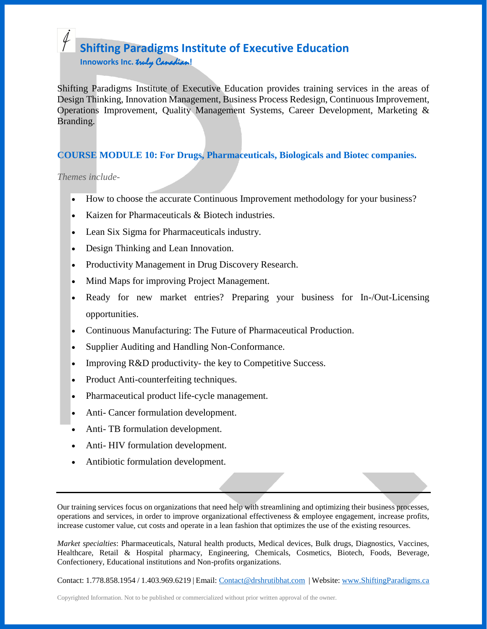## **Shifting Paradigms Institute of Executive Education Innoworks Inc.** truly Canadian**!**

Shifting Paradigms Institute of Executive Education provides training services in the areas of Design Thinking, Innovation Management, Business Process Redesign, Continuous Improvement, Operations Improvement, Quality Management Systems, Career Development, Marketing & Branding.

### **COURSE MODULE 10: For Drugs, Pharmaceuticals, Biologicals and Biotec companies.**

*Themes include-*

- How to choose the accurate Continuous Improvement methodology for your business?
- Kaizen for Pharmaceuticals & Biotech industries.
- Lean Six Sigma for Pharmaceuticals industry.
- Design Thinking and Lean Innovation.
- Productivity Management in Drug Discovery Research.
- Mind Maps for improving Project Management.
- Ready for new market entries? Preparing your business for In-/Out-Licensing opportunities.
- Continuous Manufacturing: The Future of Pharmaceutical Production.
- Supplier Auditing and Handling Non-Conformance.
- Improving R&D productivity- the key to Competitive Success.
- Product Anti-counterfeiting techniques.
- Pharmaceutical product life-cycle management.
- Anti- Cancer formulation development.
- Anti- TB formulation development.
- Anti- HIV formulation development.
- Antibiotic formulation development.

Our training services focus on organizations that need help with streamlining and optimizing their business processes, operations and services, in order to improve organizational effectiveness & employee engagement, increase profits, increase customer value, cut costs and operate in a lean fashion that optimizes the use of the existing resources.

*Market specialties*: Pharmaceuticals, Natural health products, Medical devices, Bulk drugs, Diagnostics, Vaccines, Healthcare, Retail & Hospital pharmacy, Engineering, Chemicals, Cosmetics, Biotech, Foods, Beverage, Confectionery, Educational institutions and Non-profits organizations.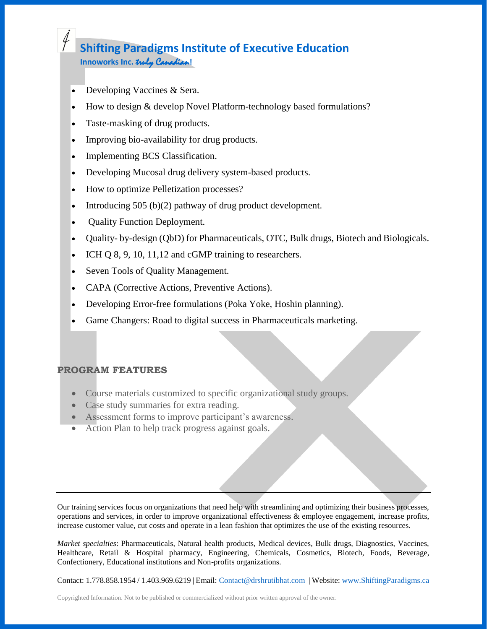## **Shifting Paradigms Institute of Executive Education Innoworks Inc.** truly Canadian**!**

- Developing Vaccines & Sera.
- How to design & develop Novel Platform-technology based formulations?
- Taste-masking of drug products.
- Improving bio-availability for drug products.
- Implementing BCS Classification.
- Developing Mucosal drug delivery system-based products.
- How to optimize Pelletization processes?
- Introducing 505 (b)(2) pathway of drug product development.
- Quality Function Deployment.
- Quality- by-design (QbD) for Pharmaceuticals, OTC, Bulk drugs, Biotech and Biologicals.
- ICH Q 8, 9, 10, 11, 12 and cGMP training to researchers.
- Seven Tools of Quality Management.
- CAPA (Corrective Actions, Preventive Actions).
- Developing Error-free formulations (Poka Yoke, Hoshin planning).
- Game Changers: Road to digital success in Pharmaceuticals marketing.

#### **PROGRAM FEATURES**

- Course materials customized to specific organizational study groups.
- Case study summaries for extra reading.
- Assessment forms to improve participant's awareness.
- Action Plan to help track progress against goals.

Our training services focus on organizations that need help with streamlining and optimizing their business processes, operations and services, in order to improve organizational effectiveness & employee engagement, increase profits, increase customer value, cut costs and operate in a lean fashion that optimizes the use of the existing resources.

*Market specialties*: Pharmaceuticals, Natural health products, Medical devices, Bulk drugs, Diagnostics, Vaccines, Healthcare, Retail & Hospital pharmacy, Engineering, Chemicals, Cosmetics, Biotech, Foods, Beverage, Confectionery, Educational institutions and Non-profits organizations.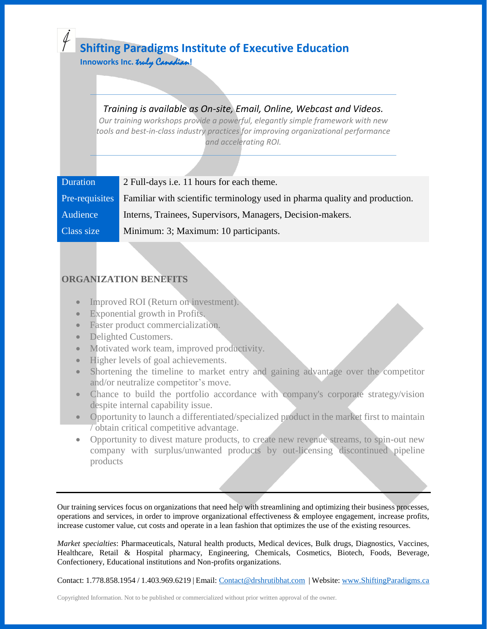# **Shifting Paradigms Institute of Executive Education**

 **Innoworks Inc.** truly Canadian**!**

## *Training is available as On-site, Email, Online, Webcast and Videos.*

*Our training workshops provide a powerful, elegantly simple framework with new tools and best-in-class industry practices for improving organizational performance and accelerating ROI.*

| <b>Duration</b> | 2 Full-days <i>i.e.</i> 11 hours for each theme.                            |
|-----------------|-----------------------------------------------------------------------------|
| Pre-requisites  | Familiar with scientific terminology used in pharma quality and production. |
| Audience        | Interns, Trainees, Supervisors, Managers, Decision-makers.                  |
| Class size      | Minimum: 3; Maximum: 10 participants.                                       |

### **ORGANIZATION BENEFITS**

- Improved ROI (Return on investment).
- Exponential growth in Profits.
- Faster product commercialization.
- Delighted Customers.
- Motivated work team, improved productivity.
- Higher levels of goal achievements.
- Shortening the timeline to market entry and gaining advantage over the competitor and/or neutralize competitor's move.
- Chance to build the portfolio accordance with company's corporate strategy/vision despite internal capability issue.
- Opportunity to launch a differentiated/specialized product in the market first to maintain / obtain critical competitive advantage.
- Opportunity to divest mature products, to create new revenue streams, to spin-out new company with surplus/unwanted products by out-licensing discontinued pipeline products

Our training services focus on organizations that need help with streamlining and optimizing their business processes, operations and services, in order to improve organizational effectiveness & employee engagement, increase profits, increase customer value, cut costs and operate in a lean fashion that optimizes the use of the existing resources.

*Market specialties*: Pharmaceuticals, Natural health products, Medical devices, Bulk drugs, Diagnostics, Vaccines, Healthcare, Retail & Hospital pharmacy, Engineering, Chemicals, Cosmetics, Biotech, Foods, Beverage, Confectionery, Educational institutions and Non-profits organizations.